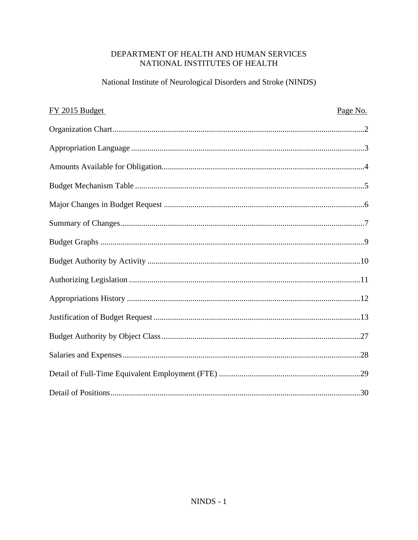# DEPARTMENT OF HEALTH AND HUMAN SERVICES NATIONAL INSTITUTES OF HEALTH

# National Institute of Neurological Disorders and Stroke (NINDS)

| FY 2015 Budget | Page No. |
|----------------|----------|
|                |          |
|                |          |
|                |          |
|                |          |
|                |          |
|                |          |
|                |          |
|                |          |
|                |          |
|                |          |
|                |          |
|                |          |
|                |          |
|                |          |
|                |          |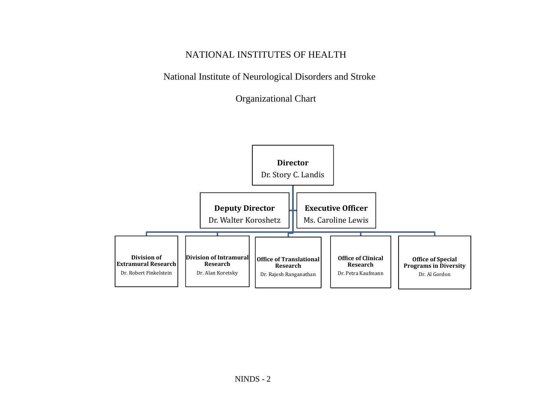# NATIONAL INSTITUTES OF HEALTH

National Institute of Neurological Disorders and Stroke

Organizational Chart

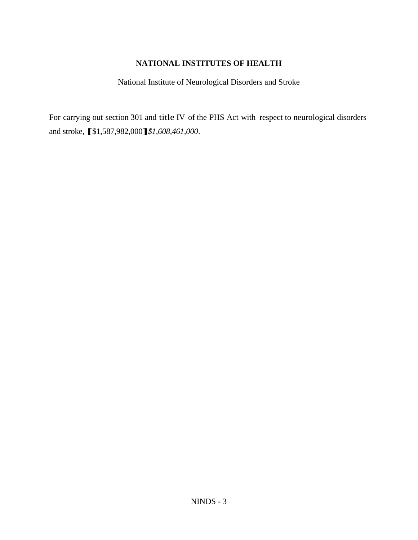## **NATIONAL INSTITUTES OF HEALTH**

National Institute of Neurological Disorders and Stroke

For carrying out section 301 and title IV of the PHS Act with respect to neurological disorders and stroke, **[**\$1,587,982,000**]***\$1,608,461,000*.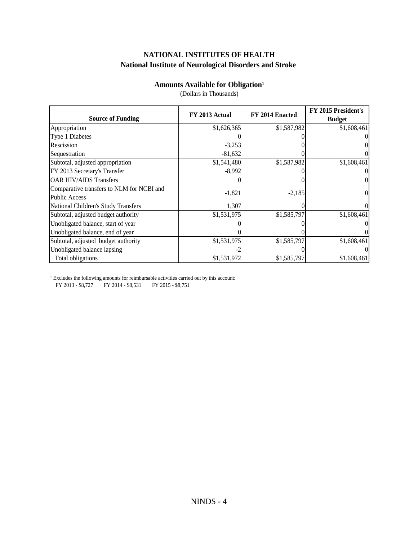# **NATIONAL INSTITUTES OF HEALTH National Institute of Neurological Disorders and Stroke**

## **Amounts Available for Obligation**<sup>1</sup>

|                                           | FY 2013 Actual | FY 2014 Enacted | FY 2015 President's |
|-------------------------------------------|----------------|-----------------|---------------------|
| <b>Source of Funding</b>                  |                |                 | <b>Budget</b>       |
| Appropriation                             | \$1,626,365    | \$1,587,982     | \$1,608,461         |
| Type 1 Diabetes                           |                |                 |                     |
| Rescission                                | $-3,253$       |                 |                     |
| Sequestration                             | $-81,632$      |                 |                     |
| Subtotal, adjusted appropriation          | \$1,541,480    | \$1,587,982     | \$1,608,461         |
| FY 2013 Secretary's Transfer              | $-8,992$       |                 |                     |
| <b>OAR HIV/AIDS Transfers</b>             |                |                 |                     |
| Comparative transfers to NLM for NCBI and |                |                 |                     |
| Public Access                             | $-1,821$       | $-2,185$        |                     |
| National Children's Study Transfers       | 1,307          |                 |                     |
| Subtotal, adjusted budget authority       | \$1,531,975    | \$1,585,797     | \$1,608,461         |
| Unobligated balance, start of year        |                |                 |                     |
| Unobligated balance, end of year          |                |                 |                     |
| Subtotal, adjusted budget authority       | \$1,531,975    | \$1,585,797     | \$1,608,461         |
| Unobligated balance lapsing               |                |                 |                     |
| Total obligations                         | \$1,531,972    | \$1,585,797     | \$1,608,461         |

(Dollars in Thousands)

<sup>1</sup> Excludes the following amounts for reimbursable activities carried out by this account:

FY 2013 - \$8,727 FY 2014 - \$8,531 FY 2015 - \$8,751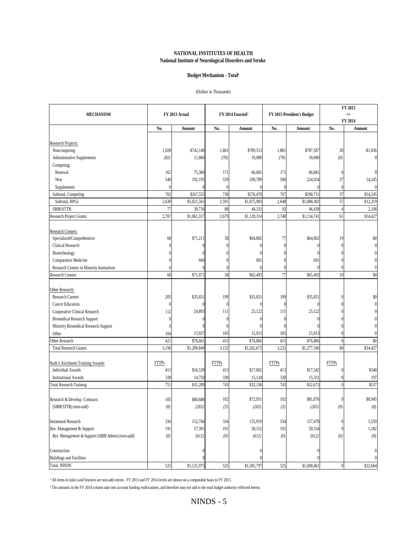#### **NATIONAL INSTITUTES OF HEALTH National Institute of Neurological Disorders and Stroke**

#### Budget Mechanism - Total<sup>1</sup>

#### (Dollars in Thousands)

|                                                  |              |                      |              |                                                            |              |                   | FY 2015          |              |  |
|--------------------------------------------------|--------------|----------------------|--------------|------------------------------------------------------------|--------------|-------------------|------------------|--------------|--|
| <b>MECHANISM</b>                                 |              | FY 2013 Actual       |              | FY 2014 Enacted <sup>2</sup><br>FY 2015 President's Budget |              |                   | $+/-$<br>FY 2014 |              |  |
|                                                  | No.          | Amount               | No.          | Amount                                                     | No.          | Amount            | No.              | Amount       |  |
| Research Projects:                               |              |                      |              |                                                            |              |                   |                  |              |  |
| Noncompeting                                     | 1,928        | \$742,140            | 1,861        | \$789,513                                                  | 1,881        | \$787,587         | 20               | $-$1,926$    |  |
| Administrative Supplements                       | (82)         | 11,866               | (70)         | 10,000                                                     | (70)         | 10,000            | (0)              |              |  |
| Competing:                                       |              |                      |              |                                                            |              |                   |                  |              |  |
| Renewal                                          | 162          | 75,360               | 171          | 66,681                                                     | 171          | 66,681            |                  |              |  |
| New                                              | 540          | 192,195              | 559          | 209,789                                                    | 596          | 224,034           | 37               | 14,245       |  |
| Supplements                                      |              |                      |              |                                                            |              |                   | $\theta$         |              |  |
| Subtotal, Competing                              | 702          | \$267,555            | 730          | \$276,470                                                  | 767          | \$290,715         | 37               | \$14,245     |  |
| Subtotal, RPGs                                   | 2,630        | \$1,021,561          | 2,591        | \$1,075,983                                                | 2,648        | \$1,088,302       | 57               | \$12,319     |  |
| <b>SBIR/STTR</b>                                 | 77           | 39,756               | 88           | 44,331                                                     | 92           | 46,439            |                  | 2,108        |  |
| Research Project Grants                          | 2,707        | \$1,061,317          | 2,679        | \$1,120,314                                                | 2,740        | \$1,134,741       | 61               | \$14,427     |  |
|                                                  |              |                      |              |                                                            |              |                   |                  |              |  |
| Research Centers:                                |              |                      |              |                                                            |              |                   |                  |              |  |
| Specialized/Comprehensive                        | 68           | \$71,211             | 58           | \$64,802                                                   | 77           | \$64,802          | 19               | \$0          |  |
| <b>Clinical Research</b>                         |              |                      |              |                                                            |              |                   |                  |              |  |
| Biotechnology                                    |              |                      |              |                                                            |              |                   |                  |              |  |
| Comparative Medicine                             |              | 660                  |              | 691                                                        |              | 691               |                  |              |  |
| Research Centers in Minority Institutions        |              |                      | $\sqrt{ }$   |                                                            |              |                   |                  |              |  |
| <b>Research Centers</b>                          | 68           | \$71,871             | 58           | \$65,493                                                   | 77           | \$65,493          | 19               | \$0          |  |
|                                                  |              |                      |              |                                                            |              |                   |                  |              |  |
| Other Research:                                  |              |                      |              |                                                            |              |                   |                  |              |  |
| <b>Research Careers</b>                          | 205          | \$35,831             | 199          | \$35,831                                                   | 199          | \$35,831          |                  | \$0          |  |
| <b>Cancer Education</b>                          | $\Omega$     |                      |              |                                                            |              |                   |                  |              |  |
| Cooperative Clinical Research                    | 112          | 24,893               | 111          | 25,122                                                     | 111          | 25,122            |                  |              |  |
| <b>Biomedical Research Support</b>               |              |                      |              |                                                            |              |                   |                  |              |  |
| Minority Biomedical Research Support             |              |                      |              |                                                            |              |                   |                  |              |  |
| Other                                            | 104          | 15,937               | 105          | 15,913                                                     | 105          | 15,913            |                  |              |  |
| Other Research                                   | 421          | $\overline{$}76,661$ | 415          | \$76,866                                                   | 415          | \$76,866          | $\theta$         | \$0          |  |
| <b>Total Research Grants</b>                     | 3,196        | \$1,209,849          | 3,152        | \$1,262,673                                                | 3,232        | \$1,277,100       | 80               | \$14,427     |  |
| Ruth L Kirchstein Training Awards:               | <b>FTTPs</b> |                      | <b>FTTPs</b> |                                                            | <b>FTTPs</b> |                   | <b>FTTPs</b>     |              |  |
| <b>Individual Awards</b>                         | 413          | \$16,539             | 413          | \$17,002                                                   | 413          | \$17,342          |                  | \$340        |  |
| <b>Institutional Awards</b>                      | 338          | 14,750               | 330          | 15,134                                                     | 330          | 15,331            |                  | 197          |  |
| <b>Total Research Training</b>                   | 751          | \$31,289             | 743          | \$32,136                                                   | 743          | \$32,673          | $\Omega$         | \$537        |  |
|                                                  |              |                      |              |                                                            |              |                   |                  |              |  |
| Research & Develop. Contracts                    | 105          | \$80,680             | 102          | \$72,931                                                   | 102          | \$81,876          |                  | \$8,945      |  |
| $(SBIR/STTR)\ (non-add)$                         | (0)          | (265)                | (3)          | (265)                                                      | (3)          | (265)             | (0)              | (0)          |  |
|                                                  |              |                      |              |                                                            |              |                   |                  |              |  |
| Intramural Research<br>Res. Management & Support | 334<br>191   | 152,766<br>57,391    | 334<br>191   | 155,919<br>58,152                                          | 334<br>191   | 157,478<br>59,334 |                  | 1,559        |  |
| Res. Management & Support (SBIR Admin) (non-add) | (0)          | (612)                | (0)          | (612)                                                      | (0)          | (612)             | (0)              | 1,182<br>(0) |  |
|                                                  |              |                      |              |                                                            |              |                   |                  |              |  |
| Construction                                     |              |                      |              |                                                            |              |                   |                  |              |  |
| <b>Buildings and Facilities</b>                  |              |                      |              |                                                            |              |                   |                  |              |  |
| Total, NINDS                                     | 525          | \$1,531,975          | 525          | \$1,585,797                                                | 525          | \$1,608,461       | $\theta$         | \$22,664     |  |

All items in italics and brackets are non-add entries. FY 2013 and FY 2014 levels are shown on a comparable basis to FY 2015.

² The amounts in the FY 2014 column take into account funding reallocations, and therefore may not add to the total budget authority reflected herein.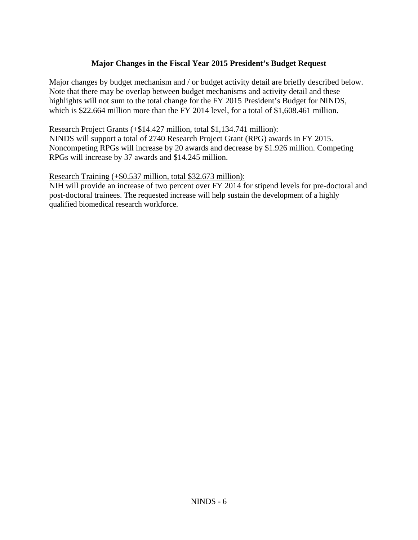# **Major Changes in the Fiscal Year 2015 President's Budget Request**

Major changes by budget mechanism and / or budget activity detail are briefly described below. Note that there may be overlap between budget mechanisms and activity detail and these highlights will not sum to the total change for the FY 2015 President's Budget for NINDS, which is \$22.664 million more than the FY 2014 level, for a total of \$1,608.461 million.

## Research Project Grants (+\$14.427 million, total \$1,134.741 million):

NINDS will support a total of 2740 Research Project Grant (RPG) awards in FY 2015. Noncompeting RPGs will increase by 20 awards and decrease by \$1.926 million. Competing RPGs will increase by 37 awards and \$14.245 million.

## Research Training (+\$0.537 million, total \$32.673 million):

NIH will provide an increase of two percent over FY 2014 for stipend levels for pre-doctoral and post-doctoral trainees. The requested increase will help sustain the development of a highly qualified biomedical research workforce.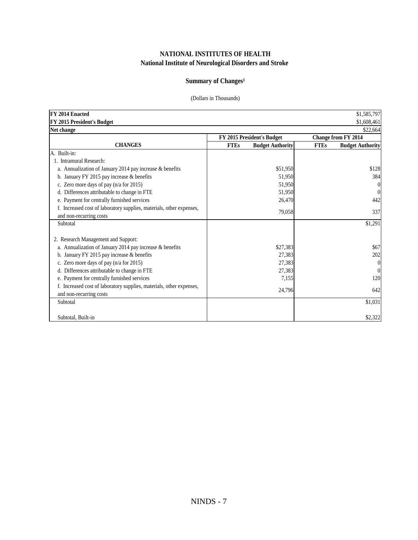### **NATIONAL INSTITUTES OF HEALTH National Institute of Neurological Disorders and Stroke**

## **Summary of Changes<sup>1</sup>**

#### (Dollars in Thousands)

| FY 2014 Enacted                                                      |             |                            |             | \$1,585,797             |
|----------------------------------------------------------------------|-------------|----------------------------|-------------|-------------------------|
| FY 2015 President's Budget                                           |             |                            |             | \$1,608,461             |
| Net change                                                           |             |                            |             | \$22,664                |
|                                                                      |             | FY 2015 President's Budget |             | Change from FY 2014     |
| <b>CHANGES</b>                                                       | <b>FTEs</b> | <b>Budget Authority</b>    | <b>FTEs</b> | <b>Budget Authority</b> |
| A. Built-in:                                                         |             |                            |             |                         |
| 1. Intramural Research:                                              |             |                            |             |                         |
| a. Annualization of January 2014 pay increase & benefits             |             | \$51,950                   |             | \$128                   |
| b. January FY 2015 pay increase & benefits                           |             | 51,950                     |             | 384                     |
| c. Zero more days of pay (n/a for 2015)                              |             | 51,950                     |             | $\boldsymbol{0}$        |
| d. Differences attributable to change in FTE                         |             | 51,950                     |             | $\Omega$                |
| e. Payment for centrally furnished services                          |             | 26,470                     |             | 442                     |
| f. Increased cost of laboratory supplies, materials, other expenses, |             | 79,058                     |             | 337                     |
| and non-recurring costs                                              |             |                            |             |                         |
| Subtotal                                                             |             |                            |             | \$1,291                 |
|                                                                      |             |                            |             |                         |
| 2. Research Management and Support:                                  |             |                            |             |                         |
| a. Annualization of January 2014 pay increase & benefits             |             | \$27,383                   |             | \$67                    |
| b. January FY 2015 pay increase $&$ benefits                         |             | 27,383                     |             | 202                     |
| c. Zero more days of pay (n/a for 2015)                              |             | 27,383                     |             | $\overline{0}$          |
| d. Differences attributable to change in FTE                         |             | 27,383                     |             | $\theta$                |
| e. Payment for centrally furnished services                          |             | 7,155                      |             | 120                     |
| f. Increased cost of laboratory supplies, materials, other expenses, |             | 24,796                     |             | 642                     |
| and non-recurring costs                                              |             |                            |             |                         |
| Subtotal                                                             |             |                            |             | \$1,031                 |
|                                                                      |             |                            |             |                         |
| Subtotal, Built-in                                                   |             |                            |             | \$2,322                 |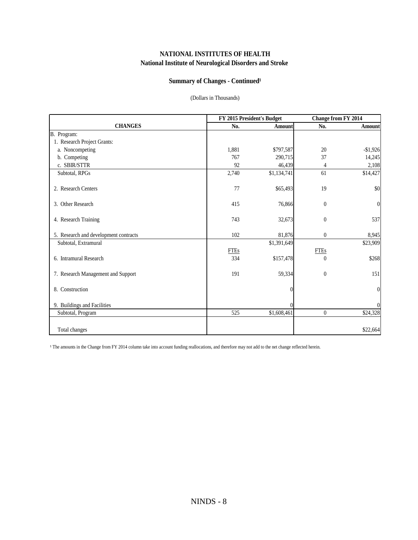### **National Institute of Neurological Disorders and Stroke NATIONAL INSTITUTES OF HEALTH**

## **Summary of Changes - Continued<sup>1</sup>**

#### (Dollars in Thousands)

|                                       | FY 2015 President's Budget |             | <b>Change from FY 2014</b> |                  |  |
|---------------------------------------|----------------------------|-------------|----------------------------|------------------|--|
| <b>CHANGES</b>                        | No.                        | Amount      | No.                        | Amount           |  |
| B. Program:                           |                            |             |                            |                  |  |
| 1. Research Project Grants:           |                            |             |                            |                  |  |
| a. Noncompeting                       | 1,881                      | \$797,587   | 20                         | $-$1,926$        |  |
| b. Competing                          | 767                        | 290,715     | 37                         | 14,245           |  |
| c. SBIR/STTR                          | 92                         | 46,439      | 4                          | 2,108            |  |
| Subtotal, RPGs                        | 2,740                      | \$1,134,741 | 61                         | \$14,427         |  |
| 2. Research Centers                   | 77                         | \$65,493    | 19                         | \$0              |  |
| 3. Other Research                     | 415                        | 76,866      | $\theta$                   | $\boldsymbol{0}$ |  |
| 4. Research Training                  | 743                        | 32,673      | $\boldsymbol{0}$           | 537              |  |
| 5. Research and development contracts | 102                        | 81,876      | $\mathbf{0}$               | 8,945            |  |
| Subtotal, Extramural                  |                            | \$1,391,649 |                            | \$23,909         |  |
|                                       | <b>FTEs</b>                |             | <b>FTEs</b>                |                  |  |
| 6. Intramural Research                | 334                        | \$157,478   | $\theta$                   | \$268            |  |
| 7. Research Management and Support    | 191                        | 59,334      | $\mathbf{0}$               | 151              |  |
| 8. Construction                       |                            |             |                            | $\overline{0}$   |  |
| 9. Buildings and Facilities           |                            |             |                            | $\overline{0}$   |  |
| Subtotal, Program                     | 525                        | \$1,608,461 | $\mathbf{0}$               | \$24,328         |  |
|                                       |                            |             |                            |                  |  |
| Total changes                         |                            |             |                            | \$22,664         |  |

<sup>1</sup> The amounts in the Change from FY 2014 column take into account funding reallocations, and therefore may not add to the net change reflected herein.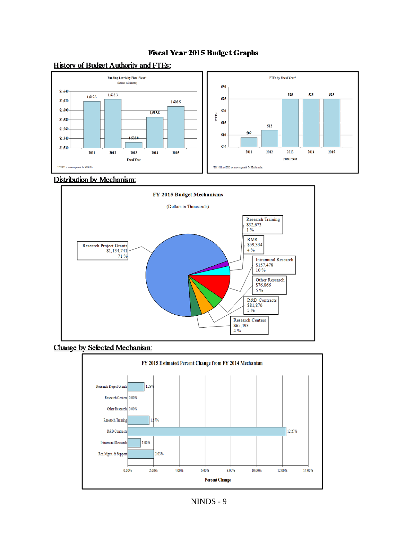### **Fiscal Year 2015 Budget Graphs**



## **History of Budget Authority and FTEs:**

#### **Distribution by Mechanism:**







NINDS - 9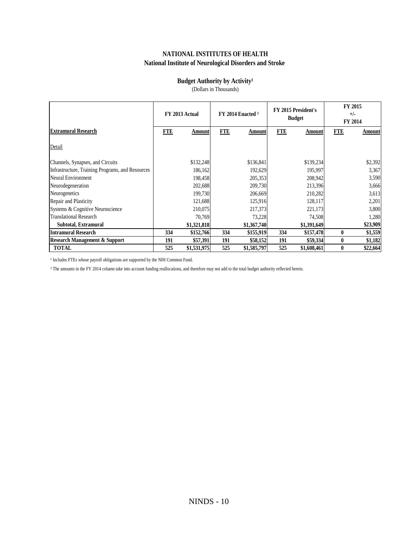## **NATIONAL INSTITUTES OF HEALTH National Institute of Neurological Disorders and Stroke**

### **Budget Authority by Activity<sup>1</sup>**

(Dollars in Thousands)

|                                                  |            | FY 2013 Actual |            | FY 2014 Enacted <sup>2</sup> |            | FY 2015 President's<br><b>Budget</b> |                  | FY 2015<br>$+/-$<br>FY 2014 |
|--------------------------------------------------|------------|----------------|------------|------------------------------|------------|--------------------------------------|------------------|-----------------------------|
| <b>Extramural Research</b>                       | <b>FTE</b> | Amountl        | <b>FTE</b> | <b>Amount</b>                | <b>FTE</b> | Amount                               | <b>FTE</b>       | Amount                      |
| Detail                                           |            |                |            |                              |            |                                      |                  |                             |
| Channels, Synapses, and Circuits                 |            | \$132,248      |            | \$136,841                    |            | \$139,234                            |                  | \$2,392                     |
| Infrastructure, Training Programs, and Resources |            | 186,162        |            | 192,629                      |            | 195,997                              |                  | 3,367                       |
| Neural Environment                               |            | 198,458        |            | 205,353                      |            | 208,942                              |                  | 3,590                       |
| Neurodegeneration                                |            | 202,688        |            | 209,730                      |            | 213,396                              |                  | 3,666                       |
| Neurogenetics                                    |            | 199,730        |            | 206,669                      |            | 210,282                              |                  | 3,613                       |
| Repair and Plasticity                            |            | 121,688        |            | 125,916                      |            | 128,117                              |                  | 2,201                       |
| Systems & Cognitive Neuroscience                 |            | 210,075        |            | 217,373                      |            | 221,173                              |                  | 3,800                       |
| <b>Translational Research</b>                    |            | 70,769         |            | 73,228                       |            | 74,508                               |                  | 1,280                       |
| Subtotal, Extramural                             |            | \$1,321,818    |            | \$1,367,740                  |            | \$1,391,649                          |                  | \$23,909                    |
| Intramural Research                              | 334        | \$152,766      | 334        | \$155,919                    | 334        | \$157,478                            | $\mathbf{0}$     | \$1,559                     |
| <b>Research Management &amp; Support</b>         | 191        | \$57,391       | 191        | \$58,152                     | 191        | \$59,334                             | $\boldsymbol{0}$ | \$1,182                     |
| <b>TOTAL</b>                                     | 525        | \$1,531,975    | 525        | \$1,585,797                  | 525        | \$1,608,461                          | $\bf{0}$         | \$22,664                    |

 $^{\rm 1}$  Includes FTEs whose payroll obligations are supported by the NIH Common Fund.

<sup>2</sup> The amounts in the FY 2014 column take into account funding reallocations, and therefore may not add to the total budget authority reflected herein.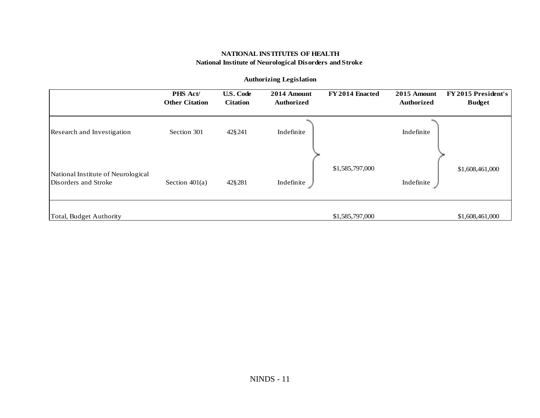#### **NATIONAL INSTITUTES OF HEALTH National Institute of Neurological Disorders andStroke**

|                                                            | <b>PHS Act/</b><br><b>Other Citation</b> | <b>U.S. Code</b><br><b>Citation</b> | 2014 Amount<br><b>Authorized</b> | FY 2014 Enacted | 2015 Amount<br><b>Authorized</b> | FY 2015 President's<br><b>Budget</b> |
|------------------------------------------------------------|------------------------------------------|-------------------------------------|----------------------------------|-----------------|----------------------------------|--------------------------------------|
| Research and Investigation                                 | Section 301                              | 42§241                              | Indefinite                       |                 | Indefinite                       |                                      |
| National Institute of Neurological<br>Disorders and Stroke | Section $401(a)$                         | 42§281                              | Indefinite                       | \$1,585,797,000 | Indefinite                       | \$1,608,461,000                      |
| Total, Budget Authority                                    |                                          |                                     |                                  | \$1,585,797,000 |                                  | \$1,608,461,000                      |

#### **Authorizing Legislation**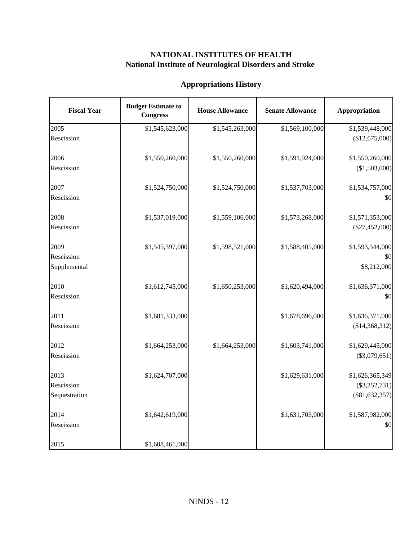## **NATIONAL INSTITUTES OF HEALTH National Institute of Neurological Disorders and Stroke**

## **Appropriations History**

| <b>Fiscal Year</b> | <b>Budget Estimate to</b><br><b>Congress</b> | <b>House Allowance</b> | <b>Senate Allowance</b> | Appropriation    |
|--------------------|----------------------------------------------|------------------------|-------------------------|------------------|
| 2005               | \$1,545,623,000                              | \$1,545,263,000        | \$1,569,100,000         | \$1,539,448,000  |
| Rescission         |                                              |                        |                         | (\$12,675,000)   |
| 2006               | \$1,550,260,000                              | \$1,550,260,000        | \$1,591,924,000         | \$1,550,260,000  |
| Rescission         |                                              |                        |                         | (\$1,503,000)    |
| 2007               | \$1,524,750,000                              | \$1,524,750,000        | \$1,537,703,000         | \$1,534,757,000  |
| Rescission         |                                              |                        |                         | \$0              |
| 2008               | \$1,537,019,000                              | \$1,559,106,000        | \$1,573,268,000         | \$1,571,353,000  |
| Rescission         |                                              |                        |                         | $(\$27,452,000)$ |
| 2009               | \$1,545,397,000                              | \$1,598,521,000        | \$1,588,405,000         | \$1,593,344,000  |
| Rescission         |                                              |                        |                         | \$0              |
| Supplemental       |                                              |                        |                         | \$8,212,000      |
| 2010               | \$1,612,745,000                              | \$1,650,253,000        | \$1,620,494,000         | \$1,636,371,000  |
| Rescission         |                                              |                        |                         | \$0              |
| 2011               | \$1,681,333,000                              |                        | \$1,678,696,000         | \$1,636,371,000  |
| Rescission         |                                              |                        |                         | (\$14,368,312)   |
| 2012               | \$1,664,253,000                              | \$1,664,253,000        | \$1,603,741,000         | \$1,629,445,000  |
| Rescission         |                                              |                        |                         | $(\$3,079,651)$  |
| 2013               | \$1,624,707,000                              |                        | \$1,629,631,000         | \$1,626,365,349  |
| Rescission         |                                              |                        |                         | $(\$3,252,731)$  |
| Sequestration      |                                              |                        |                         | $(\$81,632,357)$ |
| 2014               | \$1,642,619,000                              |                        | \$1,631,703,000         | \$1,587,982,000  |
| Rescission         |                                              |                        |                         | \$0              |
| 2015               | \$1,608,461,000                              |                        |                         |                  |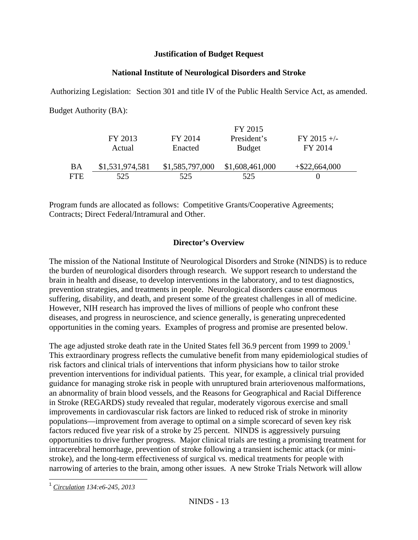## **Justification of Budget Request**

## **National Institute of Neurological Disorders and Stroke**

Authorizing Legislation: Section 301 and title IV of the Public Health Service Act, as amended. Budget Authority (BA):

|     |                 |                 | FY 2015         |                  |
|-----|-----------------|-----------------|-----------------|------------------|
|     | FY 2013         | FY 2014         | President's     | $FY$ 2015 +/-    |
|     | Actual          | Enacted         | <b>Budget</b>   | FY 2014          |
| BA  | \$1,531,974,581 | \$1,585,797,000 | \$1,608,461,000 | $+$ \$22,664,000 |
| FTE | 525             | 525             | 525             |                  |

Program funds are allocated as follows: Competitive Grants/Cooperative Agreements; Contracts; Direct Federal/Intramural and Other.

# **Director's Overview**

The mission of the National Institute of Neurological Disorders and Stroke (NINDS) is to reduce the burden of neurological disorders through research. We support research to understand the brain in health and disease, to develop interventions in the laboratory, and to test diagnostics, prevention strategies, and treatments in people. Neurological disorders cause enormous suffering, disability, and death, and present some of the greatest challenges in all of medicine. However, NIH research has improved the lives of millions of people who confront these diseases, and progress in neuroscience, and science generally, is generating unprecedented opportunities in the coming years. Examples of progress and promise are presented below.

The age adjusted stroke death rate in the United States fell 36.9 percent from 1999 to 2009.<sup>1</sup> This extraordinary progress reflects the cumulative benefit from many epidemiological studies of risk factors and clinical trials of interventions that inform physicians how to tailor stroke prevention interventions for individual patients. This year, for example, a clinical trial provided guidance for managing stroke risk in people with unruptured brain arteriovenous malformations, an abnormality of brain blood vessels, and the Reasons for Geographical and Racial Difference in Stroke (REGARDS) study revealed that regular, moderately vigorous exercise and small improvements in cardiovascular risk factors are linked to reduced risk of stroke in minority populations—improvement from average to optimal on a simple scorecard of seven key risk factors reduced five year risk of a stroke by 25 percent. NINDS is aggressively pursuing opportunities to drive further progress. Major clinical trials are testing a promising treatment for intracerebral hemorrhage, prevention of stroke following a transient ischemic attack (or ministroke), and the long-term effectiveness of surgical vs. medical treatments for people with narrowing of arteries to the brain, among other issues. A new Stroke Trials Network will allow

 $\overline{a}$ <sup>1</sup>*Circulation 134:e6-245, 2013*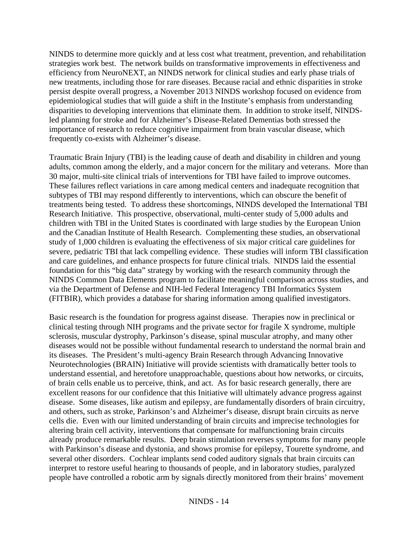NINDS to determine more quickly and at less cost what treatment, prevention, and rehabilitation strategies work best. The network builds on transformative improvements in effectiveness and efficiency from NeuroNEXT, an NINDS network for clinical studies and early phase trials of new treatments, including those for rare diseases. Because racial and ethnic disparities in stroke persist despite overall progress, a November 2013 NINDS workshop focused on evidence from epidemiological studies that will guide a shift in the Institute's emphasis from understanding disparities to developing interventions that eliminate them. In addition to stroke itself, NINDSled planning for stroke and for Alzheimer's Disease-Related Dementias both stressed the importance of research to reduce cognitive impairment from brain vascular disease, which frequently co-exists with Alzheimer's disease.

Traumatic Brain Injury (TBI) is the leading cause of death and disability in children and young adults, common among the elderly, and a major concern for the military and veterans. More than 30 major, multi-site clinical trials of interventions for TBI have failed to improve outcomes. These failures reflect variations in care among medical centers and inadequate recognition that subtypes of TBI may respond differently to interventions, which can obscure the benefit of treatments being tested. To address these shortcomings, NINDS developed the International TBI Research Initiative. This prospective, observational, multi-center study of 5,000 adults and children with TBI in the United States is coordinated with large studies by the European Union and the Canadian Institute of Health Research. Complementing these studies, an observational study of 1,000 children is evaluating the effectiveness of six major critical care guidelines for severe, pediatric TBI that lack compelling evidence. These studies will inform TBI classification and care guidelines, and enhance prospects for future clinical trials. NINDS laid the essential foundation for this "big data" strategy by working with the research community through the NINDS Common Data Elements program to facilitate meaningful comparison across studies, and via the Department of Defense and NIH-led Federal Interagency TBI Informatics System (FITBIR), which provides a database for sharing information among qualified investigators.

Basic research is the foundation for progress against disease. Therapies now in preclinical or clinical testing through NIH programs and the private sector for fragile X syndrome, multiple sclerosis, muscular dystrophy, Parkinson's disease, spinal muscular atrophy, and many other diseases would not be possible without fundamental research to understand the normal brain and its diseases. The President's multi-agency Brain Research through Advancing Innovative Neurotechnologies (BRAIN) Initiative will provide scientists with dramatically better tools to understand essential, and heretofore unapproachable, questions about how networks, or circuits, of brain cells enable us to perceive, think, and act. As for basic research generally, there are excellent reasons for our confidence that this Initiative will ultimately advance progress against disease. Some diseases, like autism and epilepsy, are fundamentally disorders of brain circuitry, and others, such as stroke, Parkinson's and Alzheimer's disease, disrupt brain circuits as nerve cells die. Even with our limited understanding of brain circuits and imprecise technologies for altering brain cell activity, interventions that compensate for malfunctioning brain circuits already produce remarkable results. Deep brain stimulation reverses symptoms for many people with Parkinson's disease and dystonia, and shows promise for epilepsy, Tourette syndrome, and several other disorders. Cochlear implants send coded auditory signals that brain circuits can interpret to restore useful hearing to thousands of people, and in laboratory studies, paralyzed people have controlled a robotic arm by signals directly monitored from their brains' movement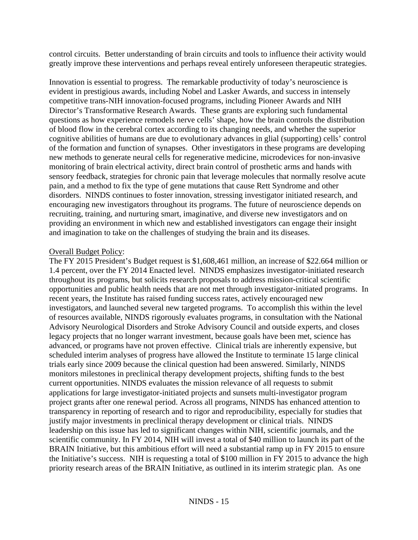control circuits. Better understanding of brain circuits and tools to influence their activity would greatly improve these interventions and perhaps reveal entirely unforeseen therapeutic strategies.

Innovation is essential to progress. The remarkable productivity of today's neuroscience is evident in prestigious awards, including Nobel and Lasker Awards, and success in intensely competitive trans-NIH innovation-focused programs, including Pioneer Awards and NIH Director's Transformative Research Awards. These grants are exploring such fundamental questions as how experience remodels nerve cells' shape, how the brain controls the distribution of blood flow in the cerebral cortex according to its changing needs, and whether the superior cognitive abilities of humans are due to evolutionary advances in glial (supporting) cells' control of the formation and function of synapses. Other investigators in these programs are developing new methods to generate neural cells for regenerative medicine, microdevices for non-invasive monitoring of brain electrical activity, direct brain control of prosthetic arms and hands with sensory feedback, strategies for chronic pain that leverage molecules that normally resolve acute pain, and a method to fix the type of gene mutations that cause Rett Syndrome and other disorders. NINDS continues to foster innovation, stressing investigator initiated research, and encouraging new investigators throughout its programs. The future of neuroscience depends on recruiting, training, and nurturing smart, imaginative, and diverse new investigators and on providing an environment in which new and established investigators can engage their insight and imagination to take on the challenges of studying the brain and its diseases.

## Overall Budget Policy:

The FY 2015 President's Budget request is \$1,608,461 million, an increase of \$22.664 million or 1.4 percent, over the FY 2014 Enacted level. NINDS emphasizes investigator-initiated research throughout its programs, but solicits research proposals to address mission-critical scientific opportunities and public health needs that are not met through investigator-initiated programs. In recent years, the Institute has raised funding success rates, actively encouraged new investigators, and launched several new targeted programs. To accomplish this within the level of resources available, NINDS rigorously evaluates programs, in consultation with the National Advisory Neurological Disorders and Stroke Advisory Council and outside experts, and closes legacy projects that no longer warrant investment, because goals have been met, science has advanced, or programs have not proven effective. Clinical trials are inherently expensive, but scheduled interim analyses of progress have allowed the Institute to terminate 15 large clinical trials early since 2009 because the clinical question had been answered. Similarly, NINDS monitors milestones in preclinical therapy development projects, shifting funds to the best current opportunities. NINDS evaluates the mission relevance of all requests to submit applications for large investigator-initiated projects and sunsets multi-investigator program project grants after one renewal period. Across all programs, NINDS has enhanced attention to transparency in reporting of research and to rigor and reproducibility, especially for studies that justify major investments in preclinical therapy development or clinical trials. NINDS leadership on this issue has led to significant changes within NIH, scientific journals, and the scientific community. In FY 2014, NIH will invest a total of \$40 million to launch its part of the BRAIN Initiative, but this ambitious effort will need a substantial ramp up in FY 2015 to ensure the Initiative's success. NIH is requesting a total of \$100 million in FY 2015 to advance the high priority research areas of the BRAIN Initiative, as outlined in its interim strategic plan. As one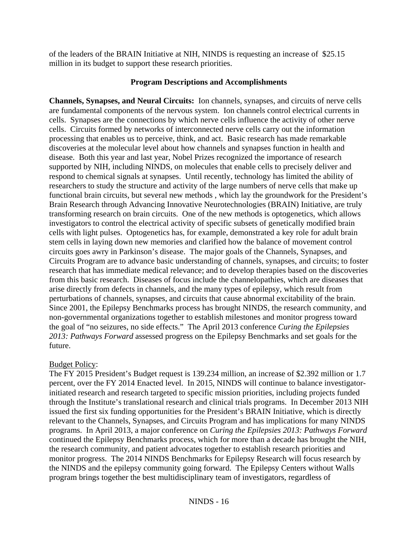of the leaders of the BRAIN Initiative at NIH, NINDS is requesting an increase of \$25.15 million in its budget to support these research priorities.

## **Program Descriptions and Accomplishments**

**Channels, Synapses, and Neural Circuits:** Ion channels, synapses, and circuits of nerve cells are fundamental components of the nervous system. Ion channels control electrical currents in cells. Synapses are the connections by which nerve cells influence the activity of other nerve cells. Circuits formed by networks of interconnected nerve cells carry out the information processing that enables us to perceive, think, and act. Basic research has made remarkable discoveries at the molecular level about how channels and synapses function in health and disease. Both this year and last year, Nobel Prizes recognized the importance of research supported by NIH, including NINDS, on molecules that enable cells to precisely deliver and respond to chemical signals at synapses. Until recently, technology has limited the ability of researchers to study the structure and activity of the large numbers of nerve cells that make up functional brain circuits, but several new methods , which lay the groundwork for the President's Brain Research through Advancing Innovative Neurotechnologies (BRAIN) Initiative, are truly transforming research on brain circuits. One of the new methods is optogenetics, which allows investigators to control the electrical activity of specific subsets of genetically modified brain cells with light pulses. Optogenetics has, for example, demonstrated a key role for adult brain stem cells in laying down new memories and clarified how the balance of movement control circuits goes awry in Parkinson's disease. The major goals of the Channels, Synapses, and Circuits Program are to advance basic understanding of channels, synapses, and circuits; to foster research that has immediate medical relevance; and to develop therapies based on the discoveries from this basic research. Diseases of focus include the channelopathies, which are diseases that arise directly from defects in channels, and the many types of epilepsy, which result from perturbations of channels, synapses, and circuits that cause abnormal excitability of the brain. Since 2001, the Epilepsy Benchmarks process has brought NINDS, the research community, and non-governmental organizations together to establish milestones and monitor progress toward the goal of "no seizures, no side effects." The April 2013 conference *Curing the Epilepsies 2013: Pathways Forward* assessed progress on the Epilepsy Benchmarks and set goals for the future.

### Budget Policy:

The FY 2015 President's Budget request is 139.234 million, an increase of \$2.392 million or 1.7 percent, over the FY 2014 Enacted level. In 2015, NINDS will continue to balance investigatorinitiated research and research targeted to specific mission priorities, including projects funded through the Institute's translational research and clinical trials programs. In December 2013 NIH issued the first six funding opportunities for the President's BRAIN Initiative, which is directly relevant to the Channels, Synapses, and Circuits Program and has implications for many NINDS programs. In April 2013, a major conference on *Curing the Epilepsies 2013: Pathways Forward*  continued the Epilepsy Benchmarks process, which for more than a decade has brought the NIH, the research community, and patient advocates together to establish research priorities and monitor progress. The 2014 NINDS Benchmarks for Epilepsy Research will focus research by the NINDS and the epilepsy community going forward. The Epilepsy Centers without Walls program brings together the best multidisciplinary team of investigators, regardless of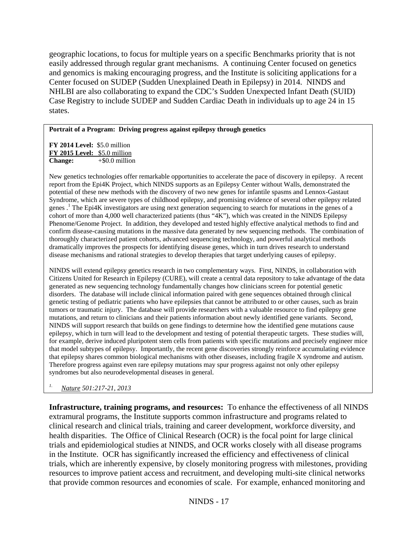geographic locations, to focus for multiple years on a specific Benchmarks priority that is not easily addressed through regular grant mechanisms. A continuing Center focused on genetics and genomics is making encouraging progress, and the Institute is soliciting applications for a Center focused on SUDEP (Sudden Unexplained Death in Epilepsy) in 2014. NINDS and NHLBI are also collaborating to expand the CDC's Sudden Unexpected Infant Death (SUID) Case Registry to include SUDEP and Sudden Cardiac Death in individuals up to age 24 in 15 states.

### **Portrait of a Program: Driving progress against epilepsy through genetics**

 **FY 2014 Level:** \$5.0 million  **FY 2015 Level:** \$5.0 million **Change:**  $+\$0.0$  million

 thoroughly characterized patient cohorts, advanced sequencing technology, and powerful analytical methods dramatically improves the prospects for identifying disease genes, which in turn drives research to understand disease mechanisms and rational strategies to develop therapies that target underlying causes of epilepsy. New genetics technologies offer remarkable opportunities to accelerate the pace of discovery in epilepsy. A recent report from the Epi4K Project, which NINDS supports as an Epilepsy Center without Walls, demonstrated the potential of these new methods with the discovery of two new genes for infantile spasms and Lennox-Gastaut Syndrome, which are severe types of childhood epilepsy, and promising evidence of several other epilepsy related genes .1 The Epi4K investigators are using next generation sequencing to search for mutations in the genes of a cohort of more than 4,000 well characterized patients (thus "4K"), which was created in the NINDS Epilepsy Phenome/Genome Project. In addition, they developed and tested highly effective analytical methods to find and confirm disease-causing mutations in the massive data generated by new sequencing methods. The combination of

 disorders. The database will include clinical information paired with gene sequences obtained through clinical mutations, and return to clinicians and their patients information about newly identified gene variants. Second, that epilepsy shares common biological mechanisms with other diseases, including fragile X syndrome and autism. Therefore progress against even rare epilepsy mutations may spur progress against not only other epilepsy syndromes but also neurodevelopmental diseases in general. NINDS will extend epilepsy genetics research in two complementary ways. First, NINDS, in collaboration with Citizens United for Research in Epilepsy (CURE), will create a central data repository to take advantage of the data generated as new sequencing technology fundamentally changes how clinicians screen for potential genetic genetic testing of pediatric patients who have epilepsies that cannot be attributed to or other causes, such as brain tumors or traumatic injury. The database will provide researchers with a valuable resource to find epilepsy gene NINDS will support research that builds on gene findings to determine how the identified gene mutations cause epilepsy, which in turn will lead to the development and testing of potential therapeutic targets. These studies will, for example, derive induced pluripotent stem cells from patients with specific mutations and precisely engineer mice that model subtypes of epilepsy. Importantly, the recent gene discoveries strongly reinforce accumulating evidence

# *1. Nature 501:217-21, 2013*

**Infrastructure, training programs, and resources:** To enhance the effectiveness of all NINDS extramural programs, the Institute supports common infrastructure and programs related to clinical research and clinical trials, training and career development, workforce diversity, and health disparities. The Office of Clinical Research (OCR) is the focal point for large clinical trials and epidemiological studies at NINDS, and OCR works closely with all disease programs in the Institute. OCR has significantly increased the efficiency and effectiveness of clinical trials, which are inherently expensive, by closely monitoring progress with milestones, providing resources to improve patient access and recruitment, and developing multi-site clinical networks that provide common resources and economies of scale. For example, enhanced monitoring and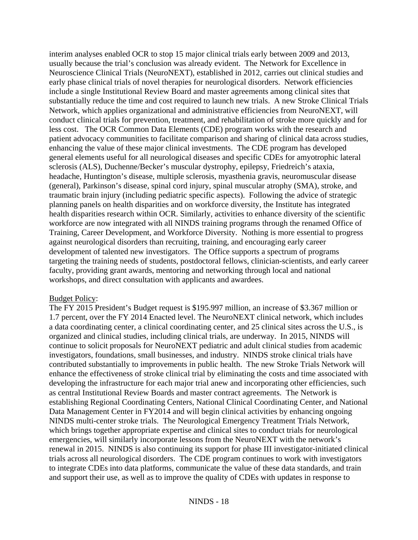interim analyses enabled OCR to stop 15 major clinical trials early between 2009 and 2013, usually because the trial's conclusion was already evident. The Network for Excellence in Neuroscience Clinical Trials (NeuroNEXT), established in 2012, carries out clinical studies and early phase clinical trials of novel therapies for neurological disorders. Network efficiencies include a single Institutional Review Board and master agreements among clinical sites that substantially reduce the time and cost required to launch new trials. A new Stroke Clinical Trials Network, which applies organizational and administrative efficiencies from NeuroNEXT, will conduct clinical trials for prevention, treatment, and rehabilitation of stroke more quickly and for less cost. The OCR Common Data Elements (CDE) program works with the research and patient advocacy communities to facilitate comparison and sharing of clinical data across studies, enhancing the value of these major clinical investments. The CDE program has developed general elements useful for all neurological diseases and specific CDEs for amyotrophic lateral sclerosis (ALS), Duchenne/Becker's muscular dystrophy, epilepsy, Friedreich's ataxia, headache, Huntington's disease, multiple sclerosis, myasthenia gravis, neuromuscular disease (general), Parkinson's disease, spinal cord injury, spinal muscular atrophy (SMA), stroke, and traumatic brain injury (including pediatric specific aspects). Following the advice of strategic planning panels on health disparities and on workforce diversity, the Institute has integrated health disparities research within OCR. Similarly, activities to enhance diversity of the scientific workforce are now integrated with all NINDS training programs through the renamed Office of Training, Career Development, and Workforce Diversity. Nothing is more essential to progress against neurological disorders than recruiting, training, and encouraging early career development of talented new investigators. The Office supports a spectrum of programs targeting the training needs of students, postdoctoral fellows, clinician-scientists, and early career faculty, providing grant awards, mentoring and networking through local and national workshops, and direct consultation with applicants and awardees.

### Budget Policy:

The FY 2015 President's Budget request is \$195.997 million, an increase of \$3.367 million or 1.7 percent, over the FY 2014 Enacted level. The NeuroNEXT clinical network, which includes a data coordinating center, a clinical coordinating center, and 25 clinical sites across the U.S., is organized and clinical studies, including clinical trials, are underway. In 2015, NINDS will continue to solicit proposals for NeuroNEXT pediatric and adult clinical studies from academic investigators, foundations, small businesses, and industry. NINDS stroke clinical trials have contributed substantially to improvements in public health. The new Stroke Trials Network will enhance the effectiveness of stroke clinical trial by eliminating the costs and time associated with developing the infrastructure for each major trial anew and incorporating other efficiencies, such as central Institutional Review Boards and master contract agreements. The Network is establishing Regional Coordinating Centers, National Clinical Coordinating Center, and National Data Management Center in FY2014 and will begin clinical activities by enhancing ongoing NINDS multi-center stroke trials. The Neurological Emergency Treatment Trials Network, which brings together appropriate expertise and clinical sites to conduct trials for neurological emergencies, will similarly incorporate lessons from the NeuroNEXT with the network's renewal in 2015. NINDS is also continuing its support for phase III investigator-initiated clinical trials across all neurological disorders. The CDE program continues to work with investigators to integrate CDEs into data platforms, communicate the value of these data standards, and train and support their use, as well as to improve the quality of CDEs with updates in response to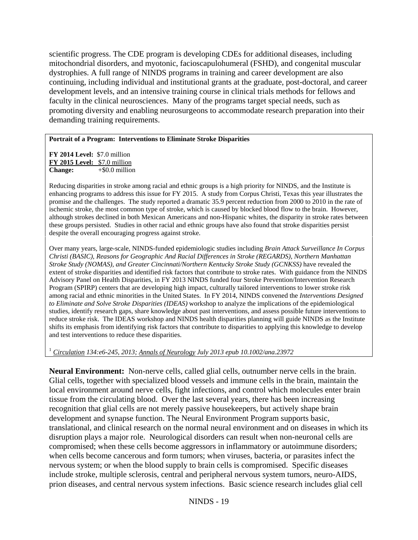scientific progress. The CDE program is developing CDEs for additional diseases, including mitochondrial disorders, and myotonic, facioscapulohumeral (FSHD), and congenital muscular dystrophies. A full range of NINDS programs in training and career development are also continuing, including individual and institutional grants at the graduate, post-doctoral, and career development levels, and an intensive training course in clinical trials methods for fellows and faculty in the clinical neurosciences. Many of the programs target special needs, such as promoting diversity and enabling neurosurgeons to accommodate research preparation into their demanding training requirements.

### **Portrait of a Program: Interventions to Eliminate Stroke Disparities**

 **FY 2014 Level:** \$7.0 million  **FY 2015 Level:** \$7.0 million **Change:**  $+\$0.0$  million

 promise and the challenges. The study reported a dramatic 35.9 percent reduction from 2000 to 2010 in the rate of Reducing disparities in stroke among racial and ethnic groups is a high priority for NINDS, and the Institute is enhancing programs to address this issue for FY 2015. A study from Corpus Christi, Texas this year illustrates the ischemic stroke, the most common type of stroke, which is caused by blocked blood flow to the brain. However, although strokes declined in both Mexican Americans and non-Hispanic whites, the disparity in stroke rates between these groups persisted. Studies in other racial and ethnic groups have also found that stroke disparities persist despite the overall encouraging progress against stroke.

 Program (SPIRP) centers that are developing high impact, culturally tailored interventions to lower stroke risk Over many years, large-scale, NINDS-funded epidemiologic studies including *Brain Attack Surveillance In Corpus Christi (BASIC), Reasons for Geographic And Racial Differences in Stroke (REGARDS), Northern Manhattan Stroke Study (NOMAS), and Greater Cincinnati/Northern Kentucky Stroke Study (GCNKSS)* have revealed the extent of stroke disparities and identified risk factors that contribute to stroke rates. With guidance from the NINDS Advisory Panel on Health Disparities, in FY 2013 NINDS funded four Stroke Prevention/Intervention Research among racial and ethnic minorities in the United States. In FY 2014, NINDS convened the *Interventions Designed to Eliminate and Solve Stroke Disparities (IDEAS)* workshop to analyze the implications of the epidemiological studies, identify research gaps, share knowledge about past interventions, and assess possible future interventions to reduce stroke risk. The IDEAS workshop and NINDS health disparities planning will guide NINDS as the Institute shifts its emphasis from identifying risk factors that contribute to disparities to applying this knowledge to develop and test interventions to reduce these disparities.

<sup>1</sup>*Circulation 134:e6-245, 2013; Annals of Neurology July 2013 epub 10.1002/ana.23972* 

**Neural Environment:** Non-nerve cells, called glial cells, outnumber nerve cells in the brain. Glial cells, together with specialized blood vessels and immune cells in the brain, maintain the local environment around nerve cells, fight infections, and control which molecules enter brain tissue from the circulating blood. Over the last several years, there has been increasing recognition that glial cells are not merely passive housekeepers, but actively shape brain development and synapse function. The Neural Environment Program supports basic, translational, and clinical research on the normal neural environment and on diseases in which its disruption plays a major role. Neurological disorders can result when non-neuronal cells are compromised; when these cells become aggressors in inflammatory or autoimmune disorders; when cells become cancerous and form tumors; when viruses, bacteria, or parasites infect the nervous system; or when the blood supply to brain cells is compromised. Specific diseases include stroke, multiple sclerosis, central and peripheral nervous system tumors, neuro-AIDS, prion diseases, and central nervous system infections. Basic science research includes glial cell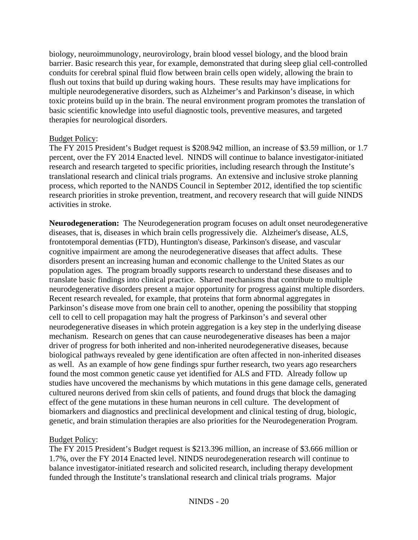biology, neuroimmunology, neurovirology, brain blood vessel biology, and the blood brain barrier. Basic research this year, for example, demonstrated that during sleep glial cell-controlled conduits for cerebral spinal fluid flow between brain cells open widely, allowing the brain to flush out toxins that build up during waking hours. These results may have implications for multiple neurodegenerative disorders, such as Alzheimer's and Parkinson's disease, in which toxic proteins build up in the brain. The neural environment program promotes the translation of basic scientific knowledge into useful diagnostic tools, preventive measures, and targeted therapies for neurological disorders.

## Budget Policy:

The FY 2015 President's Budget request is \$208.942 million, an increase of \$3.59 million, or 1.7 percent, over the FY 2014 Enacted level. NINDS will continue to balance investigator-initiated research and research targeted to specific priorities, including research through the Institute's translational research and clinical trials programs. An extensive and inclusive stroke planning process, which reported to the NANDS Council in September 2012, identified the top scientific research priorities in stroke prevention, treatment, and recovery research that will guide NINDS activities in stroke.

**Neurodegeneration:** The Neurodegeneration program focuses on adult onset neurodegenerative diseases, that is, diseases in which brain cells progressively die. Alzheimer's disease, ALS, frontotemporal dementias (FTD), Huntington's disease, Parkinson's disease, and vascular cognitive impairment are among the neurodegenerative diseases that affect adults. These disorders present an increasing human and economic challenge to the United States as our population ages. The program broadly supports research to understand these diseases and to translate basic findings into clinical practice. Shared mechanisms that contribute to multiple neurodegenerative disorders present a major opportunity for progress against multiple disorders. Recent research revealed, for example, that proteins that form abnormal aggregates in Parkinson's disease move from one brain cell to another, opening the possibility that stopping cell to cell to cell propagation may halt the progress of Parkinson's and several other neurodegenerative diseases in which protein aggregation is a key step in the underlying disease mechanism. Research on genes that can cause neurodegenerative diseases has been a major driver of progress for both inherited and non-inherited neurodegenerative diseases, because biological pathways revealed by gene identification are often affected in non-inherited diseases as well. As an example of how gene findings spur further research, two years ago researchers found the most common genetic cause yet identified for ALS and FTD. Already follow up studies have uncovered the mechanisms by which mutations in this gene damage cells, generated cultured neurons derived from skin cells of patients, and found drugs that block the damaging effect of the gene mutations in these human neurons in cell culture. The development of biomarkers and diagnostics and preclinical development and clinical testing of drug, biologic, genetic, and brain stimulation therapies are also priorities for the Neurodegeneration Program.

## Budget Policy:

The FY 2015 President's Budget request is \$213.396 million, an increase of \$3.666 million or 1.7%, over the FY 2014 Enacted level. NINDS neurodegeneration research will continue to balance investigator-initiated research and solicited research, including therapy development funded through the Institute's translational research and clinical trials programs. Major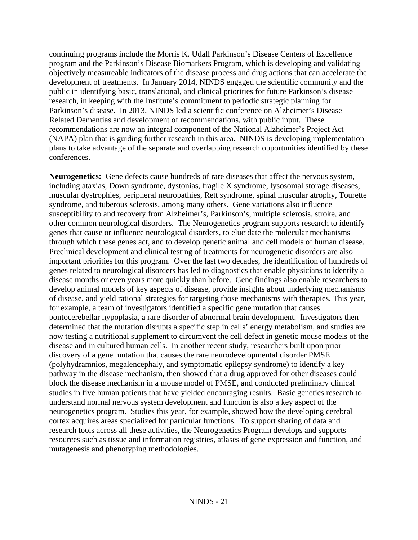continuing programs include the Morris K. Udall Parkinson's Disease Centers of Excellence program and the Parkinson's Disease Biomarkers Program, which is developing and validating objectively measureable indicators of the disease process and drug actions that can accelerate the development of treatments. In January 2014, NINDS engaged the scientific community and the public in identifying basic, translational, and clinical priorities for future Parkinson's disease research, in keeping with the Institute's commitment to periodic strategic planning for Parkinson's disease. In 2013, NINDS led a scientific conference on Alzheimer's Disease Related Dementias and development of recommendations, with public input. These recommendations are now an integral component of the National Alzheimer's Project Act (NAPA) plan that is guiding further research in this area. NINDS is developing implementation plans to take advantage of the separate and overlapping research opportunities identified by these conferences.

**Neurogenetics:** Gene defects cause hundreds of rare diseases that affect the nervous system, including ataxias, Down syndrome, dystonias, fragile X syndrome, lysosomal storage diseases, muscular dystrophies, peripheral neuropathies, Rett syndrome, spinal muscular atrophy, Tourette syndrome, and tuberous sclerosis, among many others. Gene variations also influence susceptibility to and recovery from Alzheimer's, Parkinson's, multiple sclerosis, stroke, and other common neurological disorders. The Neurogenetics program supports research to identify genes that cause or influence neurological disorders, to elucidate the molecular mechanisms through which these genes act, and to develop genetic animal and cell models of human disease. Preclinical development and clinical testing of treatments for neurogenetic disorders are also important priorities for this program. Over the last two decades, the identification of hundreds of genes related to neurological disorders has led to diagnostics that enable physicians to identify a disease months or even years more quickly than before. Gene findings also enable researchers to develop animal models of key aspects of disease, provide insights about underlying mechanisms of disease, and yield rational strategies for targeting those mechanisms with therapies. This year, for example, a team of investigators identified a specific gene mutation that causes pontocerebellar hypoplasia, a rare disorder of abnormal brain development. Investigators then determined that the mutation disrupts a specific step in cells' energy metabolism, and studies are now testing a nutritional supplement to circumvent the cell defect in genetic mouse models of the disease and in cultured human cells. In another recent study, researchers built upon prior discovery of a gene mutation that causes the rare neurodevelopmental disorder PMSE (polyhydramnios, megalencephaly, and symptomatic epilepsy syndrome) to identify a key pathway in the disease mechanism, then showed that a drug approved for other diseases could block the disease mechanism in a mouse model of PMSE, and conducted preliminary clinical studies in five human patients that have yielded encouraging results. Basic genetics research to understand normal nervous system development and function is also a key aspect of the neurogenetics program. Studies this year, for example, showed how the developing cerebral cortex acquires areas specialized for particular functions. To support sharing of data and research tools across all these activities, the Neurogenetics Program develops and supports resources such as tissue and information registries, atlases of gene expression and function, and mutagenesis and phenotyping methodologies.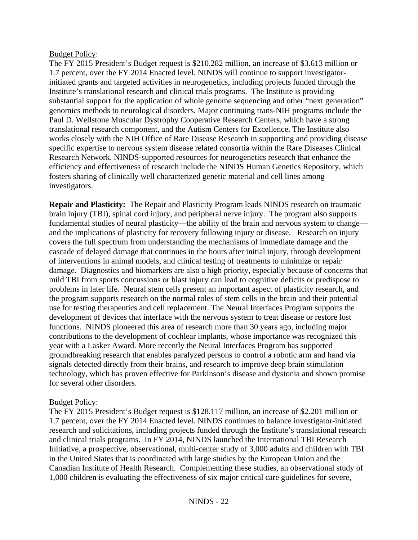## Budget Policy:

The FY 2015 President's Budget request is \$210.282 million, an increase of \$3.613 million or 1.7 percent, over the FY 2014 Enacted level. NINDS will continue to support investigatorinitiated grants and targeted activities in neurogenetics, including projects funded through the Institute's translational research and clinical trials programs. The Institute is providing substantial support for the application of whole genome sequencing and other "next generation" genomics methods to neurological disorders. Major continuing trans-NIH programs include the Paul D. Wellstone Muscular Dystrophy Cooperative Research Centers, which have a strong translational research component, and the Autism Centers for Excellence. The Institute also works closely with the NIH Office of Rare Disease Research in supporting and providing disease specific expertise to nervous system disease related consortia within the Rare Diseases Clinical Research Network. NINDS-supported resources for neurogenetics research that enhance the efficiency and effectiveness of research include the NINDS Human Genetics Repository, which fosters sharing of clinically well characterized genetic material and cell lines among investigators.

**Repair and Plasticity:** The Repair and Plasticity Program leads NINDS research on traumatic brain injury (TBI), spinal cord injury, and peripheral nerve injury. The program also supports fundamental studies of neural plasticity—the ability of the brain and nervous system to change and the implications of plasticity for recovery following injury or disease. Research on injury covers the full spectrum from understanding the mechanisms of immediate damage and the cascade of delayed damage that continues in the hours after initial injury, through development of interventions in animal models, and clinical testing of treatments to minimize or repair damage. Diagnostics and biomarkers are also a high priority, especially because of concerns that mild TBI from sports concussions or blast injury can lead to cognitive deficits or predispose to problems in later life. Neural stem cells present an important aspect of plasticity research, and the program supports research on the normal roles of stem cells in the brain and their potential use for testing therapeutics and cell replacement. The Neural Interfaces Program supports the development of devices that interface with the nervous system to treat disease or restore lost functions. NINDS pioneered this area of research more than 30 years ago, including major contributions to the development of cochlear implants, whose importance was recognized this year with a Lasker Award. More recently the Neural Interfaces Program has supported groundbreaking research that enables paralyzed persons to control a robotic arm and hand via signals detected directly from their brains, and research to improve deep brain stimulation technology, which has proven effective for Parkinson's disease and dystonia and shown promise for several other disorders.

## Budget Policy:

The FY 2015 President's Budget request is \$128.117 million, an increase of \$2.201 million or 1.7 percent, over the FY 2014 Enacted level. NINDS continues to balance investigator-initiated research and solicitations, including projects funded through the Institute's translational research and clinical trials programs. In FY 2014, NINDS launched the International TBI Research Initiative, a prospective, observational, multi-center study of 3,000 adults and children with TBI in the United States that is coordinated with large studies by the European Union and the Canadian Institute of Health Research. Complementing these studies, an observational study of 1,000 children is evaluating the effectiveness of six major critical care guidelines for severe,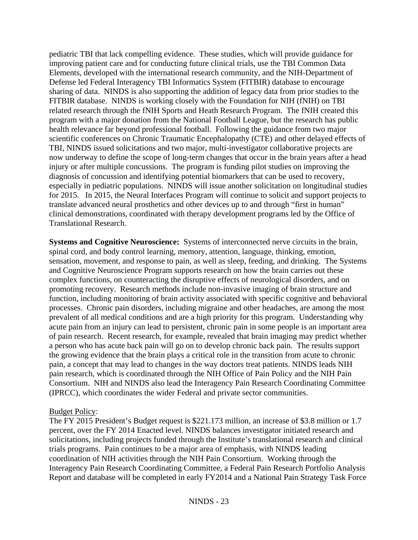pediatric TBI that lack compelling evidence. These studies, which will provide guidance for improving patient care and for conducting future clinical trials, use the TBI Common Data Elements, developed with the international research community, and the NIH-Department of Defense led Federal Interagency TBI Informatics System (FITBIR) database to encourage sharing of data. NINDS is also supporting the addition of legacy data from prior studies to the FITBIR database. NINDS is working closely with the Foundation for NIH (fNIH) on TBI related research through the fNIH Sports and Heath Research Program. The fNIH created this program with a major donation from the National Football League, but the research has public health relevance far beyond professional football. Following the guidance from two major scientific conferences on Chronic Traumatic Encephalopathy (CTE) and other delayed effects of TBI, NINDS issued solicitations and two major, multi-investigator collaborative projects are now underway to define the scope of long-term changes that occur in the brain years after a head injury or after multiple concussions. The program is funding pilot studies on improving the diagnosis of concussion and identifying potential biomarkers that can be used to recovery, especially in pediatric populations. NINDS will issue another solicitation on longitudinal studies for 2015. In 2015, the Neural Interfaces Program will continue to solicit and support projects to translate advanced neural prosthetics and other devices up to and through "first in human" clinical demonstrations, coordinated with therapy development programs led by the Office of Translational Research.

**Systems and Cognitive Neuroscience:** Systems of interconnected nerve circuits in the brain, spinal cord, and body control learning, memory, attention, language, thinking, emotion, sensation, movement, and response to pain, as well as sleep, feeding, and drinking. The Systems and Cognitive Neuroscience Program supports research on how the brain carries out these complex functions, on counteracting the disruptive effects of neurological disorders, and on promoting recovery. Research methods include non-invasive imaging of brain structure and function, including monitoring of brain activity associated with specific cognitive and behavioral processes. Chronic pain disorders, including migraine and other headaches, are among the most prevalent of all medical conditions and are a high priority for this program. Understanding why acute pain from an injury can lead to persistent, chronic pain in some people is an important area of pain research. Recent research, for example, revealed that brain imaging may predict whether a person who has acute back pain will go on to develop chronic back pain. The results support the growing evidence that the brain plays a critical role in the transition from acute to chronic pain, a concept that may lead to changes in the way doctors treat patients. NINDS leads NIH pain research, which is coordinated through the NIH Office of Pain Policy and the NIH Pain Consortium. NIH and NINDS also lead the Interagency Pain Research Coordinating Committee (IPRCC), which coordinates the wider Federal and private sector communities.

### Budget Policy:

The FY 2015 President's Budget request is \$221.173 million, an increase of \$3.8 million or 1.7 percent, over the FY 2014 Enacted level. NINDS balances investigator initiated research and solicitations, including projects funded through the Institute's translational research and clinical trials programs. Pain continues to be a major area of emphasis, with NINDS leading coordination of NIH activities through the NIH Pain Consortium. Working through the Interagency Pain Research Coordinating Committee, a Federal Pain Research Portfolio Analysis Report and database will be completed in early FY2014 and a National Pain Strategy Task Force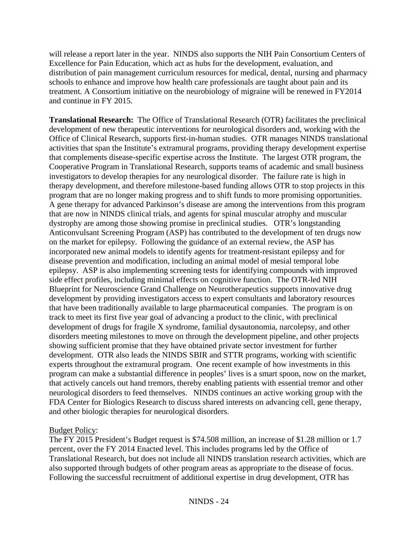will release a report later in the year. NINDS also supports the NIH Pain Consortium Centers of Excellence for Pain Education, which act as hubs for the development, evaluation, and distribution of pain management curriculum resources for medical, dental, nursing and pharmacy schools to enhance and improve how health care professionals are taught about pain and its treatment. A Consortium initiative on the neurobiology of migraine will be renewed in FY2014 and continue in FY 2015.

**Translational Research:** The Office of Translational Research (OTR) facilitates the preclinical development of new therapeutic interventions for neurological disorders and, working with the Office of Clinical Research, supports first-in-human studies. OTR manages NINDS translational activities that span the Institute's extramural programs, providing therapy development expertise that complements disease-specific expertise across the Institute. The largest OTR program, the Cooperative Program in Translational Research, supports teams of academic and small business investigators to develop therapies for any neurological disorder. The failure rate is high in therapy development, and therefore milestone-based funding allows OTR to stop projects in this program that are no longer making progress and to shift funds to more promising opportunities. A gene therapy for advanced Parkinson's disease are among the interventions from this program that are now in NINDS clinical trials, and agents for spinal muscular atrophy and muscular dystrophy are among those showing promise in preclinical studies. OTR's longstanding Anticonvulsant Screening Program (ASP) has contributed to the development of ten drugs now on the market for epilepsy. Following the guidance of an external review, the ASP has incorporated new animal models to identify agents for treatment-resistant epilepsy and for disease prevention and modification, including an animal model of mesial temporal lobe epilepsy. ASP is also implementing screening tests for identifying compounds with improved side effect profiles, including minimal effects on cognitive function. The OTR-led NIH Blueprint for Neuroscience Grand Challenge on Neurotherapeutics supports innovative drug development by providing investigators access to expert consultants and laboratory resources that have been traditionally available to large pharmaceutical companies. The program is on track to meet its first five year goal of advancing a product to the clinic, with preclinical development of drugs for fragile X syndrome, familial dysautonomia, narcolepsy, and other disorders meeting milestones to move on through the development pipeline, and other projects showing sufficient promise that they have obtained private sector investment for further development. OTR also leads the NINDS SBIR and STTR programs, working with scientific experts throughout the extramural program. One recent example of how investments in this program can make a substantial difference in peoples' lives is a smart spoon, now on the market, that actively cancels out hand tremors, thereby enabling patients with essential tremor and other neurological disorders to feed themselves. NINDS continues an active working group with the FDA Center for Biologics Research to discuss shared interests on advancing cell, gene therapy, and other biologic therapies for neurological disorders.

### Budget Policy:

The FY 2015 President's Budget request is \$74.508 million, an increase of \$1.28 million or 1.7 percent, over the FY 2014 Enacted level. This includes programs led by the Office of Translational Research, but does not include all NINDS translation research activities, which are also supported through budgets of other program areas as appropriate to the disease of focus. Following the successful recruitment of additional expertise in drug development, OTR has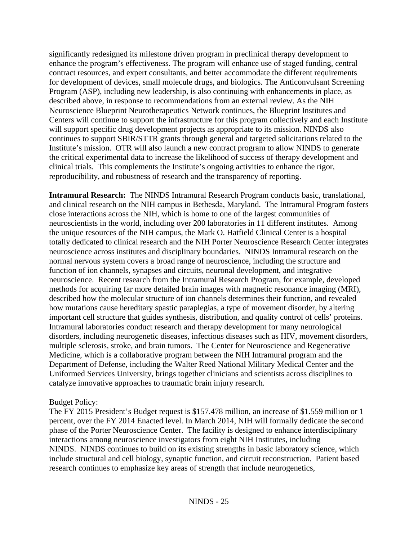significantly redesigned its milestone driven program in preclinical therapy development to enhance the program's effectiveness. The program will enhance use of staged funding, central contract resources, and expert consultants, and better accommodate the different requirements for development of devices, small molecule drugs, and biologics. The Anticonvulsant Screening Program (ASP), including new leadership, is also continuing with enhancements in place, as described above, in response to recommendations from an external review. As the NIH Neuroscience Blueprint Neurotherapeutics Network continues, the Blueprint Institutes and Centers will continue to support the infrastructure for this program collectively and each Institute will support specific drug development projects as appropriate to its mission. NINDS also continues to support SBIR/STTR grants through general and targeted solicitations related to the Institute's mission. OTR will also launch a new contract program to allow NINDS to generate the critical experimental data to increase the likelihood of success of therapy development and clinical trials. This complements the Institute's ongoing activities to enhance the rigor, reproducibility, and robustness of research and the transparency of reporting.

**Intramural Research:** The NINDS Intramural Research Program conducts basic, translational, and clinical research on the NIH campus in Bethesda, Maryland. The Intramural Program fosters close interactions across the NIH, which is home to one of the largest communities of neuroscientists in the world, including over 200 laboratories in 11 different institutes. Among the unique resources of the NIH campus, the Mark O. Hatfield Clinical Center is a hospital totally dedicated to clinical research and the NIH Porter Neuroscience Research Center integrates neuroscience across institutes and disciplinary boundaries. NINDS Intramural research on the normal nervous system covers a broad range of neuroscience, including the structure and function of ion channels, synapses and circuits, neuronal development, and integrative neuroscience. Recent research from the Intramural Research Program, for example, developed methods for acquiring far more detailed brain images with magnetic resonance imaging (MRI), described how the molecular structure of ion channels determines their function, and revealed how mutations cause hereditary spastic paraplegias, a type of movement disorder, by altering important cell structure that guides synthesis, distribution, and quality control of cells' proteins. Intramural laboratories conduct research and therapy development for many neurological disorders, including neurogenetic diseases, infectious diseases such as HIV, movement disorders, multiple sclerosis, stroke, and brain tumors. The Center for Neuroscience and Regenerative Medicine, which is a collaborative program between the NIH Intramural program and the Department of Defense, including the Walter Reed National Military Medical Center and the Uniformed Services University, brings together clinicians and scientists across disciplines to catalyze innovative approaches to traumatic brain injury research.

## Budget Policy:

The FY 2015 President's Budget request is \$157.478 million, an increase of \$1.559 million or 1 percent, over the FY 2014 Enacted level. In March 2014, NIH will formally dedicate the second phase of the Porter Neuroscience Center. The facility is designed to enhance interdisciplinary interactions among neuroscience investigators from eight NIH Institutes, including NINDS. NINDS continues to build on its existing strengths in basic laboratory science, which include structural and cell biology, synaptic function, and circuit reconstruction. Patient based research continues to emphasize key areas of strength that include neurogenetics,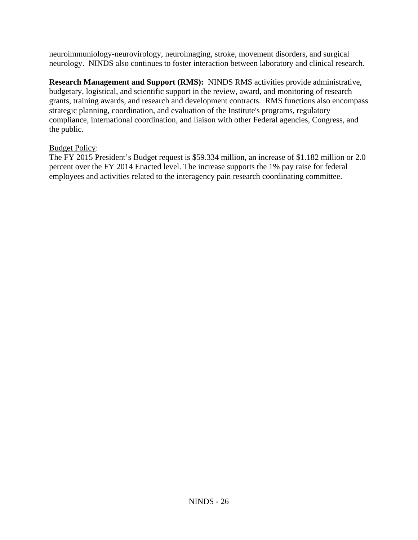neuroimmuniology-neurovirology, neuroimaging, stroke, movement disorders, and surgical neurology. NINDS also continues to foster interaction between laboratory and clinical research.

**Research Management and Support (RMS):** NINDS RMS activities provide administrative, budgetary, logistical, and scientific support in the review, award, and monitoring of research grants, training awards, and research and development contracts. RMS functions also encompass strategic planning, coordination, and evaluation of the Institute's programs, regulatory compliance, international coordination, and liaison with other Federal agencies, Congress, and the public.

## Budget Policy:

The FY 2015 President's Budget request is \$59.334 million, an increase of \$1.182 million or 2.0 percent over the FY 2014 Enacted level. The increase supports the 1% pay raise for federal employees and activities related to the interagency pain research coordinating committee.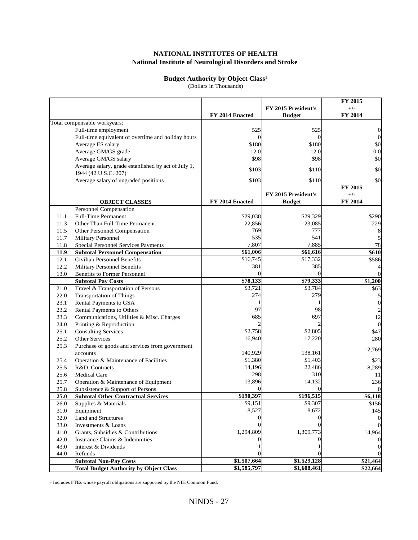### **National Institute of Neurological Disorders and Stroke NATIONAL INSTITUTES OF HEALTH**

#### **Budget Authority by Object Class<sup>1</sup>**

(Dollars in Thousands)

|      |                                                     |                 |                     | FY 2015          |
|------|-----------------------------------------------------|-----------------|---------------------|------------------|
|      |                                                     |                 | FY 2015 President's | $+/-$            |
|      |                                                     | FY 2014 Enacted | <b>Budget</b>       | FY 2014          |
|      | Total compensable workyears:                        |                 |                     |                  |
|      | Full-time employment                                | 525             | 525                 | $\mathbf{0}$     |
|      | Full-time equivalent of overtime and holiday hours  | $\vert$ 0       | $\Omega$            | $\boldsymbol{0}$ |
|      | Average ES salary                                   | \$180           | \$180               | \$0              |
|      | Average GM/GS grade                                 | 12.0            | 12.0                | 0.0              |
|      | Average GM/GS salary                                | \$98            | \$98                | \$0              |
|      | Average salary, grade established by act of July 1, |                 |                     |                  |
|      | 1944 (42 U.S.C. 207)                                | \$103           | \$110               | \$0              |
|      | Average salary of ungraded positions                | \$103           | \$110               | \$0              |
|      |                                                     |                 |                     | FY 2015          |
|      |                                                     |                 | FY 2015 President's | $+/-$            |
|      | <b>OBJECT CLASSES</b>                               | FY 2014 Enacted | <b>Budget</b>       | FY 2014          |
|      | Personnel Compensation                              |                 |                     |                  |
| 11.1 | <b>Full-Time Permanent</b>                          | \$29,038        | \$29,329            | \$290            |
| 11.3 | Other Than Full-Time Permanent                      | 22,856          | 23,085              | 229              |
| 11.5 | Other Personnel Compensation                        | 769             | 777                 | 8                |
| 11.7 | <b>Military Personnel</b>                           | 535             | 541                 |                  |
| 11.8 | Special Personnel Services Payments                 | 7,807           | 7,885               | 78               |
| 11.9 | <b>Subtotal Personnel Compensation</b>              | \$61,006        | \$61,616            | \$610            |
| 12.1 | Civilian Personnel Benefits                         | \$16,745        | \$17,332            | \$586            |
| 12.2 | Military Personnel Benefits                         | 381             | 385                 |                  |
| 13.0 | <b>Benefits to Former Personnel</b>                 | $\Omega$        | $\Omega$            | $\Omega$         |
|      | <b>Subtotal Pay Costs</b>                           | \$78,133        | \$79,333            | \$1,200          |
| 21.0 | Travel & Transportation of Persons                  | \$3,721         | \$3,784             | \$63             |
| 22.0 | <b>Transportation of Things</b>                     | 274             | 279                 | 5                |
| 23.1 | Rental Payments to GSA                              |                 |                     | $\boldsymbol{0}$ |
| 23.2 | Rental Payments to Others                           | 97              | 98                  |                  |
| 23.3 | Communications, Utilities & Misc. Charges           | 685             | 697                 | 12               |
| 24.0 | Printing & Reproduction                             |                 |                     | $\Omega$         |
| 25.1 | <b>Consulting Services</b>                          | \$2,758         | \$2,805             | \$47             |
| 25.2 | Other Services                                      | 16,940          | 17,220              | 280              |
| 25.3 | Purchase of goods and services from government      |                 |                     | $-2,769$         |
|      | accounts                                            | 140,929         | 138,161             |                  |
| 25.4 | Operation & Maintenance of Facilities               | \$1,380         | \$1,403             | \$23             |
| 25.5 | R&D Contracts                                       | 14,196          | 22,486              | 8,289            |
| 25.6 | <b>Medical Care</b>                                 | 298             | 310                 | 11               |
| 25.7 | Operation & Maintenance of Equipment                | 13,896          | 14,132              | 236              |
| 25.8 | Subsistence & Support of Persons                    | 0               | $\Omega$            |                  |
| 25.0 | <b>Subtotal Other Contractual Services</b>          | \$190,397       | \$196,515           | \$6,118          |
| 26.0 | Supplies & Materials                                | \$9,151         | \$9,307             | \$156            |
| 31.0 | Equipment                                           | 8,527           | 8,672               | 145              |
| 32.0 | <b>Land and Structures</b>                          |                 |                     |                  |
| 33.0 | Investments & Loans                                 |                 |                     |                  |
| 41.0 | Grants, Subsidies & Contributions                   | 1,294,809       | 1,309,773           | 14,964           |
| 42.0 | Insurance Claims & Indemnities                      |                 |                     |                  |
| 43.0 | Interest & Dividends                                |                 |                     |                  |
| 44.0 | Refunds                                             |                 |                     |                  |
|      | <b>Subtotal Non-Pay Costs</b>                       | \$1,507,664     | \$1,529,128         | \$21,464         |
|      | <b>Total Budget Authority by Object Class</b>       | \$1,585,797     | \$1,608,461         | \$22,664         |

<sup>1</sup> Includes FTEs whose payroll obligations are supported by the NIH Common Fund.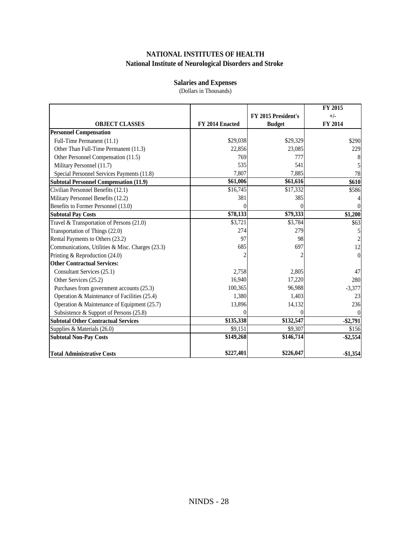## **NATIONAL INSTITUTES OF HEALTH National Institute of Neurological Disorders and Stroke**

## **Salaries and Expenses**

(Dollars in Thousands)

|                                                  |                 |                     | FY 2015   |
|--------------------------------------------------|-----------------|---------------------|-----------|
|                                                  |                 | FY 2015 President's | $+/-$     |
| <b>OBJECT CLASSES</b>                            | FY 2014 Enacted | <b>Budget</b>       | FY 2014   |
| <b>Personnel Compensation</b>                    |                 |                     |           |
| Full-Time Permanent (11.1)                       | \$29,038        | \$29,329            | \$290     |
| Other Than Full-Time Permanent (11.3)            | 22,856          | 23,085              | 229       |
| Other Personnel Compensation (11.5)              | 769             | 777                 |           |
| Military Personnel (11.7)                        | 535             | 541                 |           |
| Special Personnel Services Payments (11.8)       | 7,807           | 7,885               | 78        |
| <b>Subtotal Personnel Compensation (11.9)</b>    | \$61,006        | \$61,616            | \$610     |
| Civilian Personnel Benefits (12.1)               | \$16,745        | \$17,332            | \$586     |
| Military Personnel Benefits (12.2)               | 381             | 385                 |           |
| Benefits to Former Personnel (13.0)              |                 | $\theta$            |           |
| <b>Subtotal Pay Costs</b>                        | \$78,133        | \$79,333            | \$1,200   |
| Travel & Transportation of Persons (21.0)        | \$3,721         | \$3,784             | \$63      |
| Transportation of Things (22.0)                  | 274             | 279                 |           |
| Rental Payments to Others (23.2)                 | 97              | 98                  |           |
| Communications, Utilities & Misc. Charges (23.3) | 685             | 697                 | 12        |
| Printing & Reproduction (24.0)                   |                 |                     | $\theta$  |
| <b>Other Contractual Services:</b>               |                 |                     |           |
| Consultant Services (25.1)                       | 2,758           | 2,805               | 47        |
| Other Services (25.2)                            | 16,940          | 17,220              | 280       |
| Purchases from government accounts (25.3)        | 100,365         | 96,988              | $-3,377$  |
| Operation & Maintenance of Facilities (25.4)     | 1,380           | 1,403               | 23        |
| Operation & Maintenance of Equipment (25.7)      | 13,896          | 14,132              | 236       |
| Subsistence & Support of Persons (25.8)          | 0               | $\Omega$            |           |
| <b>Subtotal Other Contractual Services</b>       | \$135,338       | \$132,547           | $-$2,791$ |
| Supplies & Materials (26.0)                      | \$9,151         | \$9,307             | \$156     |
| <b>Subtotal Non-Pay Costs</b>                    | \$149,268       | \$146,714           | $-$2,554$ |
| <b>Total Administrative Costs</b>                | \$227,401       | \$226,047           | $-$1,354$ |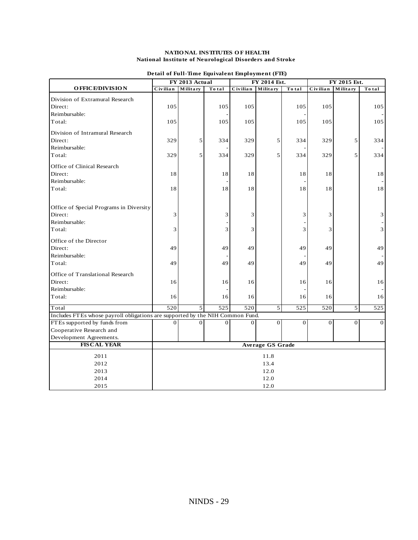#### **National Institute of Neurological Disorders and Stroke NATIO NAL INSTITUTES O F HEALTH**

|                                                                               | FY 2013 Actual   |                | FY 2014 Est. |                  |                         | FY 2015 Est.   |              |          |                |
|-------------------------------------------------------------------------------|------------------|----------------|--------------|------------------|-------------------------|----------------|--------------|----------|----------------|
| <b>OFFICE/DIVISION</b>                                                        | Civilian         | Military       | To tal       | Civilian         | Military                | To tal         | Civilian     | Military | To tal         |
| Division of Extramural Research                                               |                  |                |              |                  |                         |                |              |          |                |
| Direct:                                                                       | 105              |                | 105          | 105              |                         | 105            | 105          |          | 105            |
| Reimbursable:                                                                 |                  |                |              |                  |                         |                |              |          |                |
| Total:                                                                        | 105              |                | 105          | 105              |                         | 105            | 105          |          | 105            |
| Division of Intramural Research                                               |                  |                |              |                  |                         |                |              |          |                |
| Direct:                                                                       | 329              | 5              | 334          | 329              | $\mathfrak{S}$          | 334            | 329          | 5        | 334            |
| Reimbursable:                                                                 |                  |                |              |                  |                         |                |              |          |                |
| Total:                                                                        | 329              | 5 <sup>1</sup> | 334          | 329              | 5 <sup>5</sup>          | 334            | 329          | 5        | 334            |
| Office of Clinical Research                                                   |                  |                |              |                  |                         |                |              |          |                |
| Direct:                                                                       | 18               |                | 18           | 18               |                         | 18             | 18           |          | 18             |
| Reimbursable:                                                                 |                  |                |              |                  |                         |                |              |          |                |
| Total:                                                                        | 18               |                | 18           | 18               |                         | 18             | 18           |          | 18             |
| Office of Special Programs in Diversity                                       |                  |                |              |                  |                         |                |              |          |                |
| Direct:                                                                       | 3                |                | 3            | 3                |                         | 3              | 3            |          | 3              |
| Reimbursable:                                                                 |                  |                |              |                  |                         |                |              |          |                |
| Total:                                                                        | 3                |                | 3            | 3                |                         | 3              | 3            |          | 3              |
| Office of the Director                                                        |                  |                |              |                  |                         |                |              |          |                |
| Direct:                                                                       | 49               |                | 49           | 49               |                         | 49             | 49           |          | 49             |
| Reimbursable:                                                                 |                  |                |              |                  |                         |                |              |          |                |
| Total:                                                                        | 49               |                | 49           | 49               |                         | 49             | 49           |          | 49             |
| Office of Translational Research                                              |                  |                |              |                  |                         |                |              |          |                |
| Direct:                                                                       | 16               |                | 16           | 16               |                         | 16             | 16           |          | 16             |
| Reimbursable:                                                                 |                  |                |              |                  |                         |                |              |          |                |
| Total:                                                                        | 16               |                | 16           | 16               |                         | 16             | 16           |          | 16             |
| Total                                                                         | $\overline{520}$ | 5 <sup>1</sup> | 525          | $\overline{520}$ | $\overline{5}$          | 525            | 520          | 5        | 525            |
| Includes FTEs whose payroll obligations are supported by the NIH Common Fund. |                  |                |              |                  |                         |                |              |          |                |
| FTEs supported by funds from                                                  | $\Omega$         | $\overline{0}$ | $\theta$     | $\overline{0}$   | $\overline{0}$          | $\overline{0}$ | $\mathbf{0}$ | $\theta$ | $\overline{0}$ |
| Cooperative Research and                                                      |                  |                |              |                  |                         |                |              |          |                |
| Development Agreements.                                                       |                  |                |              |                  |                         |                |              |          |                |
| <b>FISCAL YEAR</b>                                                            |                  |                |              |                  | <b>Average GS Grade</b> |                |              |          |                |
| 2011                                                                          |                  |                |              |                  | 11.8                    |                |              |          |                |
| 2012                                                                          |                  |                |              |                  | 13.4                    |                |              |          |                |
| 2013                                                                          |                  | 12.0           |              |                  |                         |                |              |          |                |
| 2014                                                                          |                  |                |              |                  | 12.0                    |                |              |          |                |
| 2015                                                                          |                  |                |              |                  | 12.0                    |                |              |          |                |

| Detail of Full-Time Equivalent Employment (FTE) |  |  |  |
|-------------------------------------------------|--|--|--|
|-------------------------------------------------|--|--|--|